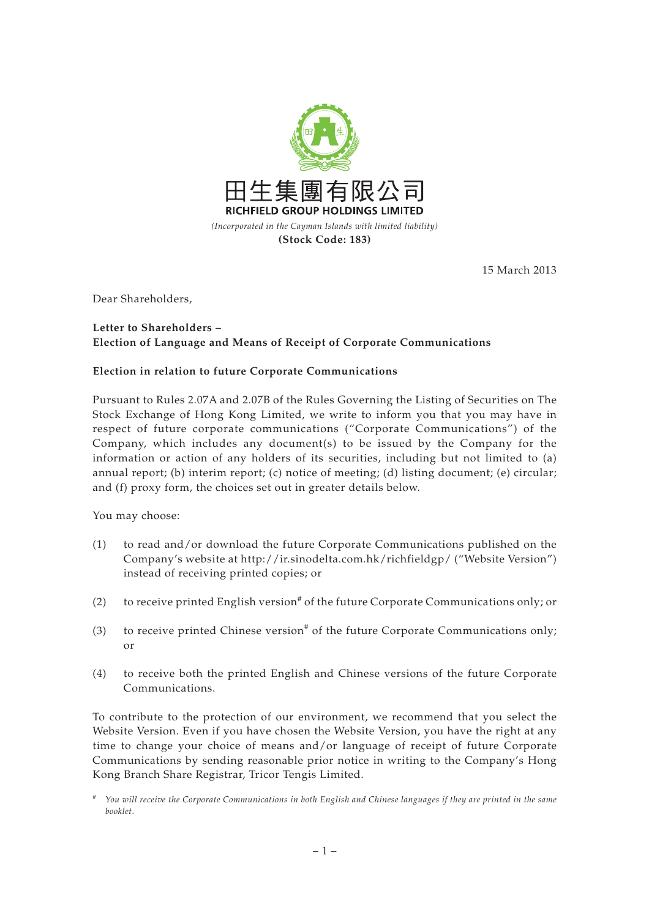

15 March 2013

Dear Shareholders,

## **Letter to Shareholders – Election of Language and Means of Receipt of Corporate Communications**

## **Election in relation to future Corporate Communications**

Pursuant to Rules 2.07A and 2.07B of the Rules Governing the Listing of Securities on The Stock Exchange of Hong Kong Limited, we write to inform you that you may have in respect of future corporate communications ("Corporate Communications") of the Company, which includes any document(s) to be issued by the Company for the information or action of any holders of its securities, including but not limited to (a) annual report; (b) interim report; (c) notice of meeting; (d) listing document; (e) circular; and (f) proxy form, the choices set out in greater details below.

You may choose:

- (1) to read and/or download the future Corporate Communications published on the Company's website at http://ir.sinodelta.com.hk/richfieldgp/ ("Website Version") instead of receiving printed copies; or
- (2) to receive printed English version<sup>#</sup> of the future Corporate Communications only; or
- (3) to receive printed Chinese version<sup>#</sup> of the future Corporate Communications only; or
- (4) to receive both the printed English and Chinese versions of the future Corporate Communications.

To contribute to the protection of our environment, we recommend that you select the Website Version. Even if you have chosen the Website Version, you have the right at any time to change your choice of means and/or language of receipt of future Corporate Communications by sending reasonable prior notice in writing to the Company's Hong Kong Branch Share Registrar, Tricor Tengis Limited.

<sup>#</sup> *You will receive the Corporate Communications in both English and Chinese languages if they are printed in the same booklet.*